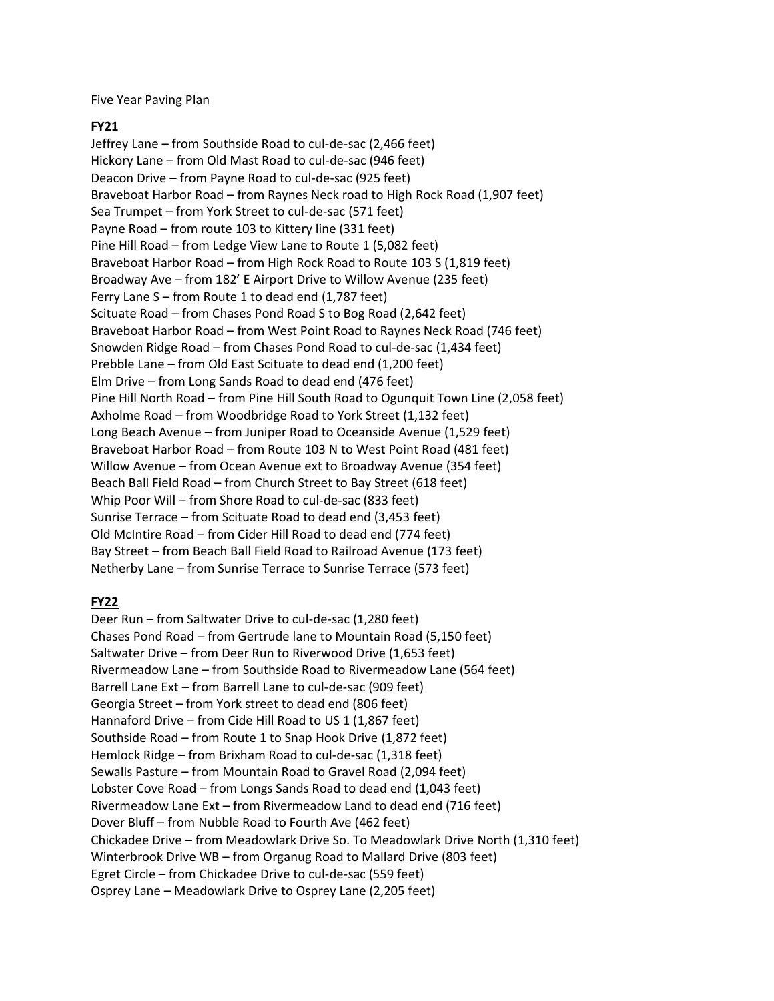Five Year Paving Plan

# **FY21**

Jeffrey Lane – from Southside Road to cul-de-sac (2,466 feet) Hickory Lane – from Old Mast Road to cul-de-sac (946 feet) Deacon Drive – from Payne Road to cul-de-sac (925 feet) Braveboat Harbor Road – from Raynes Neck road to High Rock Road (1,907 feet) Sea Trumpet – from York Street to cul-de-sac (571 feet) Payne Road – from route 103 to Kittery line (331 feet) Pine Hill Road – from Ledge View Lane to Route 1 (5,082 feet) Braveboat Harbor Road – from High Rock Road to Route 103 S (1,819 feet) Broadway Ave – from 182' E Airport Drive to Willow Avenue (235 feet) Ferry Lane S – from Route 1 to dead end (1,787 feet) Scituate Road – from Chases Pond Road S to Bog Road (2,642 feet) Braveboat Harbor Road – from West Point Road to Raynes Neck Road (746 feet) Snowden Ridge Road – from Chases Pond Road to cul-de-sac (1,434 feet) Prebble Lane – from Old East Scituate to dead end (1,200 feet) Elm Drive – from Long Sands Road to dead end (476 feet) Pine Hill North Road – from Pine Hill South Road to Ogunquit Town Line (2,058 feet) Axholme Road – from Woodbridge Road to York Street (1,132 feet) Long Beach Avenue – from Juniper Road to Oceanside Avenue (1,529 feet) Braveboat Harbor Road – from Route 103 N to West Point Road (481 feet) Willow Avenue – from Ocean Avenue ext to Broadway Avenue (354 feet) Beach Ball Field Road – from Church Street to Bay Street (618 feet) Whip Poor Will – from Shore Road to cul-de-sac (833 feet) Sunrise Terrace – from Scituate Road to dead end (3,453 feet) Old McIntire Road – from Cider Hill Road to dead end (774 feet) Bay Street – from Beach Ball Field Road to Railroad Avenue (173 feet) Netherby Lane – from Sunrise Terrace to Sunrise Terrace (573 feet)

# **FY22**

Deer Run – from Saltwater Drive to cul-de-sac (1,280 feet) Chases Pond Road – from Gertrude lane to Mountain Road (5,150 feet) Saltwater Drive – from Deer Run to Riverwood Drive (1,653 feet) Rivermeadow Lane – from Southside Road to Rivermeadow Lane (564 feet) Barrell Lane Ext – from Barrell Lane to cul-de-sac (909 feet) Georgia Street – from York street to dead end (806 feet) Hannaford Drive – from Cide Hill Road to US 1 (1,867 feet) Southside Road – from Route 1 to Snap Hook Drive (1,872 feet) Hemlock Ridge – from Brixham Road to cul-de-sac (1,318 feet) Sewalls Pasture – from Mountain Road to Gravel Road (2,094 feet) Lobster Cove Road – from Longs Sands Road to dead end (1,043 feet) Rivermeadow Lane Ext – from Rivermeadow Land to dead end (716 feet) Dover Bluff – from Nubble Road to Fourth Ave (462 feet) Chickadee Drive – from Meadowlark Drive So. To Meadowlark Drive North (1,310 feet) Winterbrook Drive WB – from Organug Road to Mallard Drive (803 feet) Egret Circle – from Chickadee Drive to cul-de-sac (559 feet) Osprey Lane – Meadowlark Drive to Osprey Lane (2,205 feet)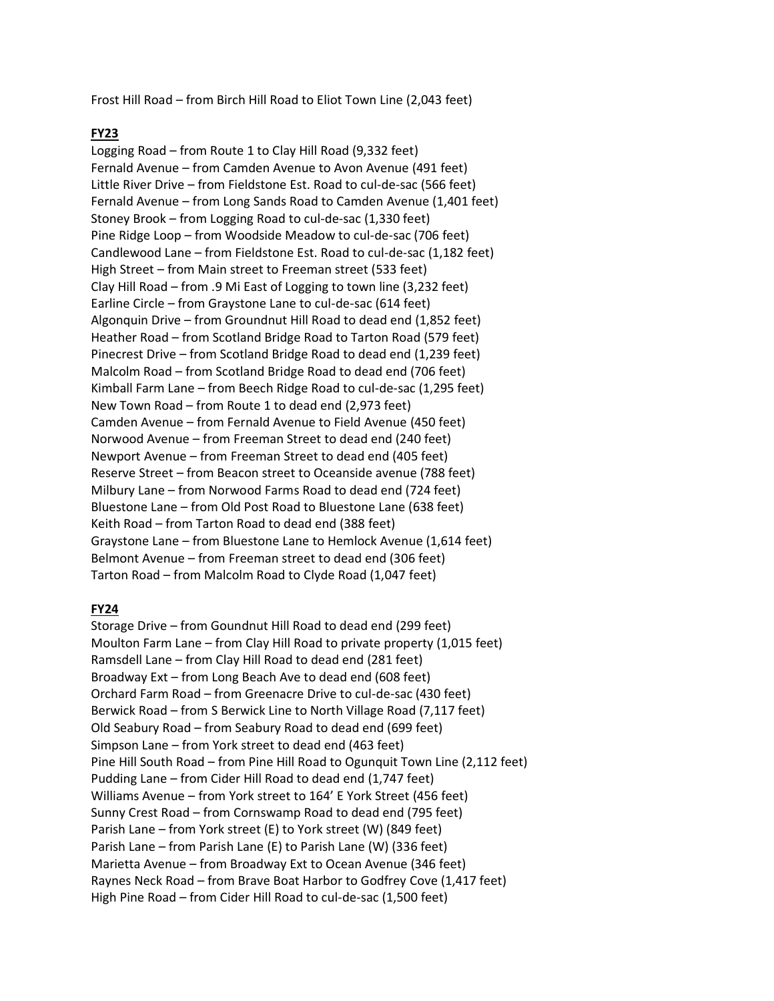Frost Hill Road – from Birch Hill Road to Eliot Town Line (2,043 feet)

## **FY23**

Logging Road – from Route 1 to Clay Hill Road (9,332 feet) Fernald Avenue – from Camden Avenue to Avon Avenue (491 feet) Little River Drive – from Fieldstone Est. Road to cul-de-sac (566 feet) Fernald Avenue – from Long Sands Road to Camden Avenue (1,401 feet) Stoney Brook – from Logging Road to cul-de-sac (1,330 feet) Pine Ridge Loop – from Woodside Meadow to cul-de-sac (706 feet) Candlewood Lane – from Fieldstone Est. Road to cul-de-sac (1,182 feet) High Street – from Main street to Freeman street (533 feet) Clay Hill Road – from .9 Mi East of Logging to town line (3,232 feet) Earline Circle – from Graystone Lane to cul-de-sac (614 feet) Algonquin Drive – from Groundnut Hill Road to dead end (1,852 feet) Heather Road – from Scotland Bridge Road to Tarton Road (579 feet) Pinecrest Drive – from Scotland Bridge Road to dead end (1,239 feet) Malcolm Road – from Scotland Bridge Road to dead end (706 feet) Kimball Farm Lane – from Beech Ridge Road to cul-de-sac (1,295 feet) New Town Road – from Route 1 to dead end (2,973 feet) Camden Avenue – from Fernald Avenue to Field Avenue (450 feet) Norwood Avenue – from Freeman Street to dead end (240 feet) Newport Avenue – from Freeman Street to dead end (405 feet) Reserve Street – from Beacon street to Oceanside avenue (788 feet) Milbury Lane – from Norwood Farms Road to dead end (724 feet) Bluestone Lane – from Old Post Road to Bluestone Lane (638 feet) Keith Road – from Tarton Road to dead end (388 feet) Graystone Lane – from Bluestone Lane to Hemlock Avenue (1,614 feet) Belmont Avenue – from Freeman street to dead end (306 feet) Tarton Road – from Malcolm Road to Clyde Road (1,047 feet)

## **FY24**

Storage Drive – from Goundnut Hill Road to dead end (299 feet) Moulton Farm Lane – from Clay Hill Road to private property (1,015 feet) Ramsdell Lane – from Clay Hill Road to dead end (281 feet) Broadway Ext – from Long Beach Ave to dead end (608 feet) Orchard Farm Road – from Greenacre Drive to cul-de-sac (430 feet) Berwick Road – from S Berwick Line to North Village Road (7,117 feet) Old Seabury Road – from Seabury Road to dead end (699 feet) Simpson Lane – from York street to dead end (463 feet) Pine Hill South Road – from Pine Hill Road to Ogunquit Town Line (2,112 feet) Pudding Lane – from Cider Hill Road to dead end (1,747 feet) Williams Avenue – from York street to 164' E York Street (456 feet) Sunny Crest Road – from Cornswamp Road to dead end (795 feet) Parish Lane – from York street (E) to York street (W) (849 feet) Parish Lane – from Parish Lane (E) to Parish Lane (W) (336 feet) Marietta Avenue – from Broadway Ext to Ocean Avenue (346 feet) Raynes Neck Road – from Brave Boat Harbor to Godfrey Cove (1,417 feet) High Pine Road – from Cider Hill Road to cul-de-sac (1,500 feet)